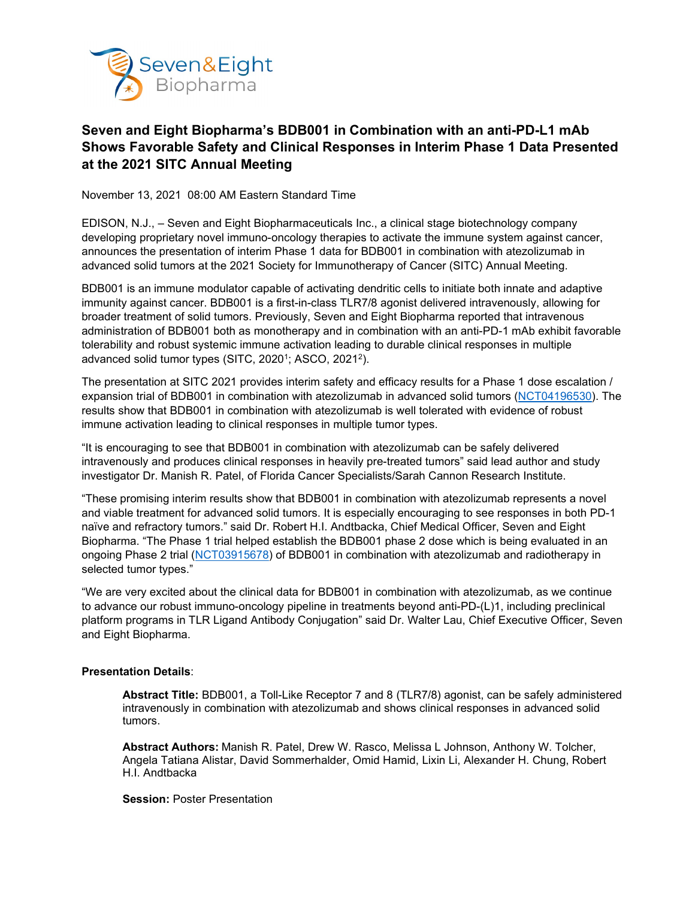

# **Seven and Eight Biopharma's BDB001 in Combination with an anti-PD-L1 mAb Shows Favorable Safety and Clinical Responses in Interim Phase 1 Data Presented at the 2021 SITC Annual Meeting**

November 13, 2021 08:00 AM Eastern Standard Time

EDISON, N.J., – Seven and Eight Biopharmaceuticals Inc., a clinical stage biotechnology company developing proprietary novel immuno-oncology therapies to activate the immune system against cancer, announces the presentation of interim Phase 1 data for BDB001 in combination with atezolizumab in advanced solid tumors at the 2021 Society for Immunotherapy of Cancer (SITC) Annual Meeting.

BDB001 is an immune modulator capable of activating dendritic cells to initiate both innate and adaptive immunity against cancer. BDB001 is a first-in-class TLR7/8 agonist delivered intravenously, allowing for broader treatment of solid tumors. Previously, Seven and Eight Biopharma reported that intravenous administration of BDB001 both as monotherapy and in combination with an anti-PD-1 mAb exhibit favorable tolerability and robust systemic immune activation leading to durable clinical responses in multiple advanced solid tumor types (SITC, 20201; ASCO, 20212).

The presentation at SITC 2021 provides interim safety and efficacy results for a Phase 1 dose escalation / expansion trial of BDB001 in combination with atezolizumab in advanced solid tumors [\(NCT04196530\)](https://clinicaltrials.gov/ct2/show/NCT04196530). The results show that BDB001 in combination with atezolizumab is well tolerated with evidence of robust immune activation leading to clinical responses in multiple tumor types.

"It is encouraging to see that BDB001 in combination with atezolizumab can be safely delivered intravenously and produces clinical responses in heavily pre-treated tumors" said lead author and study investigator Dr. Manish R. Patel, of Florida Cancer Specialists/Sarah Cannon Research Institute.

"These promising interim results show that BDB001 in combination with atezolizumab represents a novel and viable treatment for advanced solid tumors. It is especially encouraging to see responses in both PD-1 naïve and refractory tumors." said Dr. Robert H.I. Andtbacka, Chief Medical Officer, Seven and Eight Biopharma. "The Phase 1 trial helped establish the BDB001 phase 2 dose which is being evaluated in an ongoing Phase 2 trial [\(NCT03915678\)](https://clinicaltrials.gov/ct2/show/NCT03915678) of BDB001 in combination with atezolizumab and radiotherapy in selected tumor types."

"We are very excited about the clinical data for BDB001 in combination with atezolizumab, as we continue to advance our robust immuno-oncology pipeline in treatments beyond anti-PD-(L)1, including preclinical platform programs in TLR Ligand Antibody Conjugation" said Dr. Walter Lau, Chief Executive Officer, Seven and Eight Biopharma.

#### **Presentation Details**:

**Abstract Title:** BDB001, a Toll-Like Receptor 7 and 8 (TLR7/8) agonist, can be safely administered intravenously in combination with atezolizumab and shows clinical responses in advanced solid tumors.

**Abstract Authors:** Manish R. Patel, Drew W. Rasco, Melissa L Johnson, Anthony W. Tolcher, Angela Tatiana Alistar, David Sommerhalder, Omid Hamid, Lixin Li, Alexander H. Chung, Robert H.I. Andtbacka

**Session:** Poster Presentation